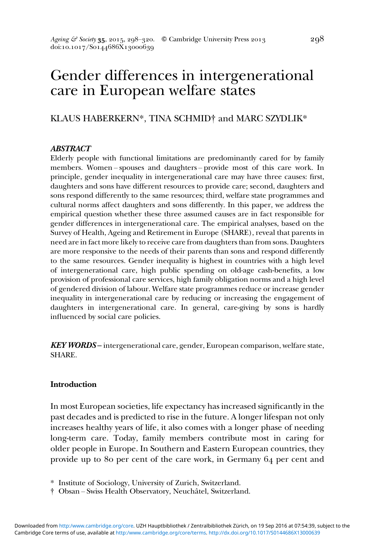# Gender differences in intergenerational care in European welfare states

# KLAUS HABERKERN\*, TINA SCHMID† and MARC SZYDLIK\*

## **ABSTRACT**

Elderly people with functional limitations are predominantly cared for by family members. Women – spouses and daughters – provide most of this care work. In principle, gender inequality in intergenerational care may have three causes: first, daughters and sons have different resources to provide care; second, daughters and sons respond differently to the same resources; third, welfare state programmes and cultural norms affect daughters and sons differently. In this paper, we address the empirical question whether these three assumed causes are in fact responsible for gender differences in intergenerational care. The empirical analyses, based on the Survey of Health, Ageing and Retirement in Europe (SHARE), reveal that parents in need are in fact more likely to receive care from daughters than from sons. Daughters are more responsive to the needs of their parents than sons and respond differently to the same resources. Gender inequality is highest in countries with a high level of intergenerational care, high public spending on old-age cash-benefits, a low provision of professional care services, high family obligation norms and a high level of gendered division of labour. Welfare state programmes reduce or increase gender inequality in intergenerational care by reducing or increasing the engagement of daughters in intergenerational care. In general, care-giving by sons is hardly influenced by social care policies.

KEY WORDS – intergenerational care, gender, European comparison, welfare state, SHARE.

### Introduction

In most European societies, life expectancy has increased significantly in the past decades and is predicted to rise in the future. A longer lifespan not only increases healthy years of life, it also comes with a longer phase of needing long-term care. Today, family members contribute most in caring for older people in Europe. In Southern and Eastern European countries, they provide up to 80 per cent of the care work, in Germany  $64$  per cent and

<sup>\*</sup> Institute of Sociology, University of Zurich, Switzerland.

<sup>†</sup> Obsan – Swiss Health Observatory, Neuchâtel, Switzerland.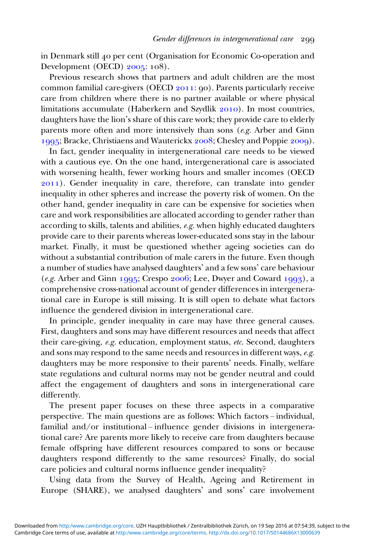in Denmark still 40 per cent (Organisation for Economic Co-operation and Development (OECD)  $2005$ :  $108$ ).

Previous research shows that partners and adult children are the most common familial care-givers (OECD  $2011:90$ ). Parents particularly receive care from children where there is no partner available or where physical limitations accumulate (Haberkern and Szydlik 2010). In most countries, daughters have the lion's share of this care work; they provide care to elderly parents more often and more intensively than sons (e.g. Arber and Ginn  $1995$ ; Bracke, Christiaens and Wauterickx  $2008$ ; Chesley and Poppie  $2009$ ).

In fact, gender inequality in intergenerational care needs to be viewed with a cautious eye. On the one hand, intergenerational care is associated with worsening health, fewer working hours and smaller incomes (OECD ). Gender inequality in care, therefore, can translate into gender inequality in other spheres and increase the poverty risk of women. On the other hand, gender inequality in care can be expensive for societies when care and work responsibilities are allocated according to gender rather than according to skills, talents and abilities, e.g. when highly educated daughters provide care to their parents whereas lower-educated sons stay in the labour market. Finally, it must be questioned whether ageing societies can do without a substantial contribution of male carers in the future. Even though a number of studies have analysed daughters' and a few sons' care behaviour (e.g. Arber and Ginn  $1995$ ; Crespo 2006; Lee, Dwyer and Coward  $1993$ ), a comprehensive cross-national account of gender differences in intergenerational care in Europe is still missing. It is still open to debate what factors influence the gendered division in intergenerational care.

In principle, gender inequality in care may have three general causes. First, daughters and sons may have different resources and needs that affect their care-giving, e.g. education, employment status, etc. Second, daughters and sons may respond to the same needs and resources in different ways, e.g. daughters may be more responsive to their parents' needs. Finally, welfare state regulations and cultural norms may not be gender neutral and could affect the engagement of daughters and sons in intergenerational care differently.

The present paper focuses on these three aspects in a comparative perspective. The main questions are as follows: Which factors – individual, familial and/or institutional – influence gender divisions in intergenerational care? Are parents more likely to receive care from daughters because female offspring have different resources compared to sons or because daughters respond differently to the same resources? Finally, do social care policies and cultural norms influence gender inequality?

Using data from the Survey of Health, Ageing and Retirement in Europe (SHARE), we analysed daughters' and sons' care involvement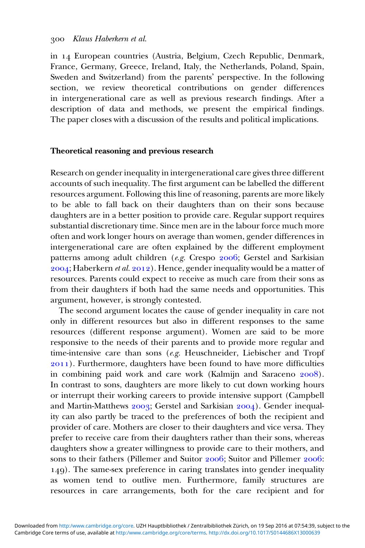#### Klaus Haberkern et al.

in 14 European countries (Austria, Belgium, Czech Republic, Denmark, France, Germany, Greece, Ireland, Italy, the Netherlands, Poland, Spain, Sweden and Switzerland) from the parents' perspective. In the following section, we review theoretical contributions on gender differences in intergenerational care as well as previous research findings. After a description of data and methods, we present the empirical findings. The paper closes with a discussion of the results and political implications.

#### Theoretical reasoning and previous research

Research on gender inequality in intergenerational care gives three different accounts of such inequality. The first argument can be labelled the different resources argument. Following this line of reasoning, parents are more likely to be able to fall back on their daughters than on their sons because daughters are in a better position to provide care. Regular support requires substantial discretionary time. Since men are in the labour force much more often and work longer hours on average than women, gender differences in intergenerational care are often explained by the different employment patterns among adult children ( $e.g.$  Crespo  $2006$ ; Gerstel and Sarkisian  $2004$ ; Haberkern et al.  $2012$ ). Hence, gender inequality would be a matter of resources. Parents could expect to receive as much care from their sons as from their daughters if both had the same needs and opportunities. This argument, however, is strongly contested.

The second argument locates the cause of gender inequality in care not only in different resources but also in different responses to the same resources (different response argument). Women are said to be more responsive to the needs of their parents and to provide more regular and time-intensive care than sons (e.g. Heuschneider, Liebischer and Tropf ). Furthermore, daughters have been found to have more difficulties in combining paid work and care work (Kalmijn and Saraceno 2008). In contrast to sons, daughters are more likely to cut down working hours or interrupt their working careers to provide intensive support (Campbell and Martin-Matthews 2003; Gerstel and Sarkisian 2004). Gender inequality can also partly be traced to the preferences of both the recipient and provider of care. Mothers are closer to their daughters and vice versa. They prefer to receive care from their daughters rather than their sons, whereas daughters show a greater willingness to provide care to their mothers, and sons to their fathers (Pillemer and Suitor 2006; Suitor and Pillemer 2006: ). The same-sex preference in caring translates into gender inequality as women tend to outlive men. Furthermore, family structures are resources in care arrangements, both for the care recipient and for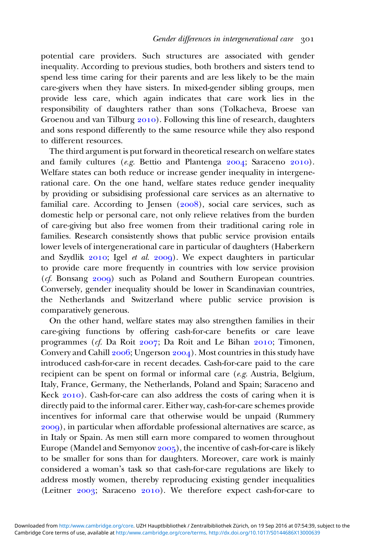potential care providers. Such structures are associated with gender inequality. According to previous studies, both brothers and sisters tend to spend less time caring for their parents and are less likely to be the main care-givers when they have sisters. In mixed-gender sibling groups, men provide less care, which again indicates that care work lies in the responsibility of daughters rather than sons (Tolkacheva, Broese van Groenou and van Tilburg 2010). Following this line of research, daughters and sons respond differently to the same resource while they also respond to different resources.

The third argument is put forward in theoretical research on welfare states and family cultures (e.g. Bettio and Plantenga  $2004$ ; Saraceno  $2010$ ). Welfare states can both reduce or increase gender inequality in intergenerational care. On the one hand, welfare states reduce gender inequality by providing or subsidising professional care services as an alternative to familial care. According to Jensen  $(2008)$ , social care services, such as domestic help or personal care, not only relieve relatives from the burden of care-giving but also free women from their traditional caring role in families. Research consistently shows that public service provision entails lower levels of intergenerational care in particular of daughters (Haberkern and Szydlik  $2010$ ; Igel *et al.*  $2000$ ). We expect daughters in particular to provide care more frequently in countries with low service provision  $(cf. Bonsang 2009)$  such as Poland and Southern European countries. Conversely, gender inequality should be lower in Scandinavian countries, the Netherlands and Switzerland where public service provision is comparatively generous.

On the other hand, welfare states may also strengthen families in their care-giving functions by offering cash-for-care benefits or care leave programmes (cf. Da Roit  $2007$ ; Da Roit and Le Bihan 2010; Timonen, Convery and Cahill  $2006$ ; Ungerson  $2004$ ). Most countries in this study have introduced cash-for-care in recent decades. Cash-for-care paid to the care recipient can be spent on formal or informal care (e.g. Austria, Belgium, Italy, France, Germany, the Netherlands, Poland and Spain; Saraceno and Keck  $2010$ ). Cash-for-care can also address the costs of caring when it is directly paid to the informal carer. Either way, cash-for-care schemes provide incentives for informal care that otherwise would be unpaid (Rummery ), in particular when affordable professional alternatives are scarce, as in Italy or Spain. As men still earn more compared to women throughout Europe (Mandel and Semyonov  $2005$ ), the incentive of cash-for-care is likely to be smaller for sons than for daughters. Moreover, care work is mainly considered a woman's task so that cash-for-care regulations are likely to address mostly women, thereby reproducing existing gender inequalities (Leitner  $2003$ ; Saraceno  $2010$ ). We therefore expect cash-for-care to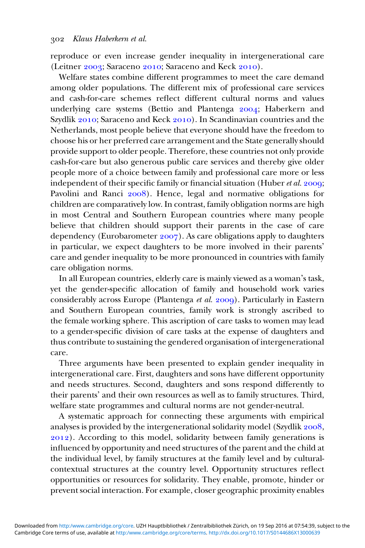reproduce or even increase gender inequality in intergenerational care (Leitner 2003; Saraceno 2010; Saraceno and Keck 2010).

Welfare states combine different programmes to meet the care demand among older populations. The different mix of professional care services and cash-for-care schemes reflect different cultural norms and values underlying care systems (Bettio and Plantenga 2004; Haberkern and Szydlik 2010; Saraceno and Keck 2010). In Scandinavian countries and the Netherlands, most people believe that everyone should have the freedom to choose his or her preferred care arrangement and the State generally should provide support to older people. Therefore, these countries not only provide cash-for-care but also generous public care services and thereby give older people more of a choice between family and professional care more or less independent of their specific family or financial situation (Huber et al. 2009; Pavolini and Ranci 2008). Hence, legal and normative obligations for children are comparatively low. In contrast, family obligation norms are high in most Central and Southern European countries where many people believe that children should support their parents in the case of care dependency (Eurobarometer  $2007$ ). As care obligations apply to daughters in particular, we expect daughters to be more involved in their parents' care and gender inequality to be more pronounced in countries with family care obligation norms.

In all European countries, elderly care is mainly viewed as a woman's task, yet the gender-specific allocation of family and household work varies considerably across Europe (Plantenga et al. 2009). Particularly in Eastern and Southern European countries, family work is strongly ascribed to the female working sphere. This ascription of care tasks to women may lead to a gender-specific division of care tasks at the expense of daughters and thus contribute to sustaining the gendered organisation of intergenerational care.

Three arguments have been presented to explain gender inequality in intergenerational care. First, daughters and sons have different opportunity and needs structures. Second, daughters and sons respond differently to their parents' and their own resources as well as to family structures. Third, welfare state programmes and cultural norms are not gender-neutral.

A systematic approach for connecting these arguments with empirical analyses is provided by the intergenerational solidarity model (Szydlik 2008, ). According to this model, solidarity between family generations is influenced by opportunity and need structures of the parent and the child at the individual level, by family structures at the family level and by culturalcontextual structures at the country level. Opportunity structures reflect opportunities or resources for solidarity. They enable, promote, hinder or prevent social interaction. For example, closer geographic proximity enables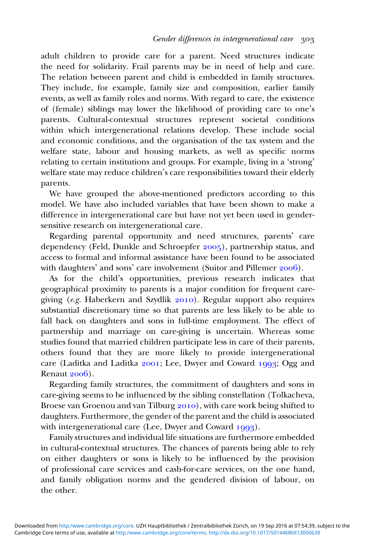adult children to provide care for a parent. Need structures indicate the need for solidarity. Frail parents may be in need of help and care. The relation between parent and child is embedded in family structures. They include, for example, family size and composition, earlier family events, as well as family roles and norms. With regard to care, the existence of (female) siblings may lower the likelihood of providing care to one's parents. Cultural-contextual structures represent societal conditions within which intergenerational relations develop. These include social and economic conditions, and the organisation of the tax system and the welfare state, labour and housing markets, as well as specific norms relating to certain institutions and groups. For example, living in a 'strong' welfare state may reduce children's care responsibilities toward their elderly parents.

We have grouped the above-mentioned predictors according to this model. We have also included variables that have been shown to make a difference in intergenerational care but have not yet been used in gendersensitive research on intergenerational care.

Regarding parental opportunity and need structures, parents' care dependency (Feld, Dunkle and Schroepfer 2005), partnership status, and access to formal and informal assistance have been found to be associated with daughters' and sons' care involvement (Suitor and Pillemer 2006).

As for the child's opportunities, previous research indicates that geographical proximity to parents is a major condition for frequent caregiving (e.g. Haberkern and Szydlik  $2010$ ). Regular support also requires substantial discretionary time so that parents are less likely to be able to fall back on daughters and sons in full-time employment. The effect of partnership and marriage on care-giving is uncertain. Whereas some studies found that married children participate less in care of their parents, others found that they are more likely to provide intergenerational care (Laditka and Laditka 2001; Lee, Dwyer and Coward 1993; Ogg and Renaut  $2006$ ).

Regarding family structures, the commitment of daughters and sons in care-giving seems to be influenced by the sibling constellation (Tolkacheva, Broese van Groenou and van Tilburg  $2010$ , with care work being shifted to daughters. Furthermore, the gender of the parent and the child is associated with intergenerational care (Lee, Dwyer and Coward 1993).

Family structures and individual life situations are furthermore embedded in cultural-contextual structures. The chances of parents being able to rely on either daughters or sons is likely to be influenced by the provision of professional care services and cash-for-care services, on the one hand, and family obligation norms and the gendered division of labour, on the other.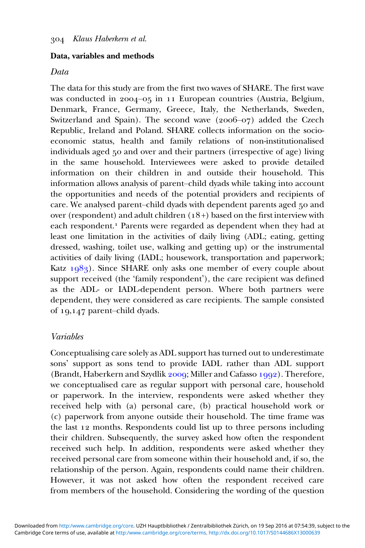## Data, variables and methods

## Data

The data for this study are from the first two waves of SHARE. The first wave was conducted in 2004-05 in 11 European countries (Austria, Belgium, Denmark, France, Germany, Greece, Italy, the Netherlands, Sweden, Switzerland and Spain). The second wave  $(2006-07)$  added the Czech Republic, Ireland and Poland. SHARE collects information on the socioeconomic status, health and family relations of non-institutionalised individuals aged 50 and over and their partners (irrespective of age) living in the same household. Interviewees were asked to provide detailed information on their children in and outside their household. This information allows analysis of parent–child dyads while taking into account the opportunities and needs of the potential providers and recipients of care. We analysed parent–child dyads with dependent parents aged 50 and over (respondent) and adult children  $(18+)$  based on the first interview with each respondent.<sup>1</sup> Parents were regarded as dependent when they had at least one limitation in the activities of daily living (ADL; eating, getting dressed, washing, toilet use, walking and getting up) or the instrumental activities of daily living (IADL; housework, transportation and paperwork; Katz  $1983$ ). Since SHARE only asks one member of every couple about support received (the 'family respondent'), the care recipient was defined as the ADL- or IADL-dependent person. Where both partners were dependent, they were considered as care recipients. The sample consisted of  $19,147$  parent–child dyads.

## Variables

Conceptualising care solely as ADL support has turned out to underestimate sons' support as sons tend to provide IADL rather than ADL support (Brandt, Haberkern and Szydlik 2009; Miller and Cafasso 1992). Therefore, we conceptualised care as regular support with personal care, household or paperwork. In the interview, respondents were asked whether they received help with (a) personal care, (b) practical household work or (c) paperwork from anyone outside their household. The time frame was the last 12 months. Respondents could list up to three persons including their children. Subsequently, the survey asked how often the respondent received such help. In addition, respondents were asked whether they received personal care from someone within their household and, if so, the relationship of the person. Again, respondents could name their children. However, it was not asked how often the respondent received care from members of the household. Considering the wording of the question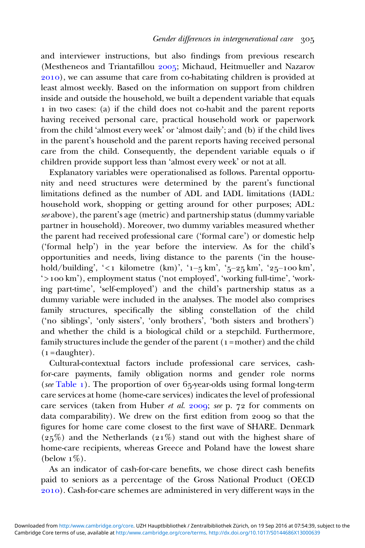and interviewer instructions, but also findings from previous research (Mestheneos and Triantafillou  $2005$ ; Michaud, Heitmueller and Nazarov ), we can assume that care from co-habitating children is provided at least almost weekly. Based on the information on support from children inside and outside the household, we built a dependent variable that equals in two cases: (a) if the child does not co-habit and the parent reports having received personal care, practical household work or paperwork from the child 'almost every week' or 'almost daily'; and (b) if the child lives in the parent's household and the parent reports having received personal care from the child. Consequently, the dependent variable equals o if children provide support less than 'almost every week' or not at all.

Explanatory variables were operationalised as follows. Parental opportunity and need structures were determined by the parent's functional limitations defined as the number of ADL and IADL limitations (IADL: household work, shopping or getting around for other purposes; ADL: see above), the parent's age (metric) and partnership status (dummy variable partner in household). Moreover, two dummy variables measured whether the parent had received professional care ('formal care') or domestic help ('formal help') in the year before the interview. As for the child's opportunities and needs, living distance to the parents ('in the household/building', '<1 kilometre (km)', '1-5 km', '5-25 km', '25-100 km', ' > 100 km'), employment status ('not employed', 'working full-time', 'working part-time', 'self-employed') and the child's partnership status as a dummy variable were included in the analyses. The model also comprises family structures, specifically the sibling constellation of the child ('no siblings', 'only sisters', 'only brothers', 'both sisters and brothers') and whether the child is a biological child or a stepchild. Furthermore, family structures include the gender of the parent  $(1 = mother)$  and the child  $(i = daughter).$ 

Cultural-contextual factors include professional care services, cashfor-care payments, family obligation norms and gender role norms (see [Table](#page-8-0) 1). The proportion of over  $65$ -year-olds using formal long-term care services at home (home-care services) indicates the level of professional care services (taken from Huber *et al.*  $2009$ ; see p. 72 for comments on data comparability). We drew on the first edition from 2009 so that the figures for home care come closest to the first wave of SHARE. Denmark  $(25\%)$  and the Netherlands  $(21\%)$  stand out with the highest share of home-care recipients, whereas Greece and Poland have the lowest share (below  $1\%$ ).

As an indicator of cash-for-care benefits, we chose direct cash benefits paid to seniors as a percentage of the Gross National Product (OECD ). Cash-for-care schemes are administered in very different ways in the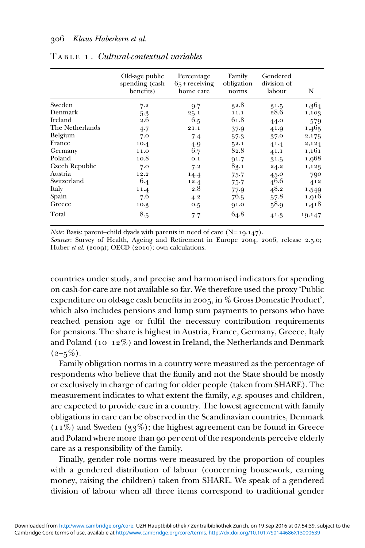#### <span id="page-8-0"></span>Klaus Haberkern et al.

|                 | Old-age public<br>spending (cash<br>benefits) | Percentage<br>$65 +$ receiving<br>home care | Family<br>obligation<br>norms | Gendered<br>division of<br>labour | N      |
|-----------------|-----------------------------------------------|---------------------------------------------|-------------------------------|-----------------------------------|--------|
| Sweden          | 7.2                                           | 9.7                                         | 32.8                          | 31.5                              | 1,364  |
| Denmark         | $5-3$                                         | 25.1                                        | 11.1                          | 28.6                              | 1,103  |
| Ireland         | 2.6                                           | 6.5                                         | 61.8                          | 44.0                              | 579    |
| The Netherlands | 4.7                                           | 21.1                                        | 37.9                          | 41.9                              | 1,465  |
| Belgium         | 7.0                                           | $7-4$                                       | 57.3                          | 37.0                              | 2,175  |
| France          | 10.4                                          | 4.9                                         | 52.1                          | 41.4                              | 2,124  |
| Germany         | 11.0                                          | 6.7                                         | 82.8                          | 41.1                              | 1,161  |
| Poland          | 10.8                                          | O.1                                         | 91.7                          | 31.5                              | 1,968  |
| Czech Republic  | 7.0                                           | 7.2                                         | 83.1                          | 24.2                              | 1,123  |
| Austria         | 12.2                                          | 14.4                                        | 75.7                          | 45.0                              | 790    |
| Switzerland     | 6.4                                           | 12.4                                        | 75.7                          | 46.6                              | 412    |
| Italy           | 11.4                                          | 2.8                                         | 77.9                          | 48.2                              | 1,549  |
| Spain           | 7.6                                           | 4.2                                         | 76.5                          | 57.8                              | 1,916  |
| Greece          | 10.3                                          | 0.5                                         | 91.0                          | 58.9                              | 1,418  |
| Total           | 8.5                                           | 7.7                                         | 64.8                          | 41.3                              | 19,147 |

TABLE 1. Cultural-contextual variables

*Note*: Basis: parent–child dyads with parents in need of care  $(N=10,147)$ .

Sources: Survey of Health, Ageing and Retirement in Europe 2004, 2006, release 2.5.0; Huber et al.  $(2009)$ ; OECD  $(2010)$ ; own calculations.

countries under study, and precise and harmonised indicators for spending on cash-for-care are not available so far. We therefore used the proxy 'Public expenditure on old-age cash benefits in  $2005$ , in % Gross Domestic Product', which also includes pensions and lump sum payments to persons who have reached pension age or fulfil the necessary contribution requirements for pensions. The share is highest in Austria, France, Germany, Greece, Italy and Poland ( $10-12\%$ ) and lowest in Ireland, the Netherlands and Denmark  $(2-5\%)$ .

Family obligation norms in a country were measured as the percentage of respondents who believe that the family and not the State should be mostly or exclusively in charge of caring for older people (taken from SHARE). The measurement indicates to what extent the family, e.g. spouses and children, are expected to provide care in a country. The lowest agreement with family obligations in care can be observed in the Scandinavian countries, Denmark  $(11\%)$  and Sweden  $(33\%)$ ; the highest agreement can be found in Greece and Poland where more than 90 per cent of the respondents perceive elderly care as a responsibility of the family.

Finally, gender role norms were measured by the proportion of couples with a gendered distribution of labour (concerning housework, earning money, raising the children) taken from SHARE. We speak of a gendered division of labour when all three items correspond to traditional gender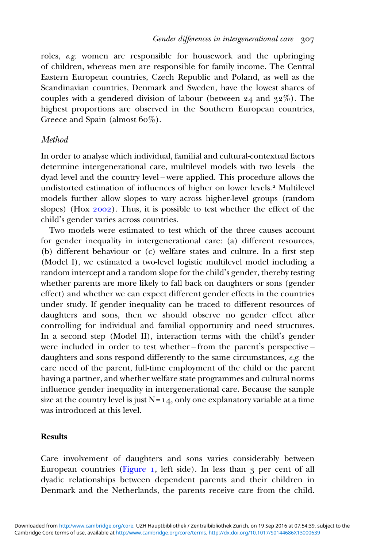roles, e.g. women are responsible for housework and the upbringing of children, whereas men are responsible for family income. The Central Eastern European countries, Czech Republic and Poland, as well as the Scandinavian countries, Denmark and Sweden, have the lowest shares of couples with a gendered division of labour (between  $24$  and  $32\%$ ). The highest proportions are observed in the Southern European countries, Greece and Spain (almost  $60\%$ ).

## Method

In order to analyse which individual, familial and cultural-contextual factors determine intergenerational care, multilevel models with two levels – the dyad level and the country level – were applied. This procedure allows the undistorted estimation of influences of higher on lower levels.<sup>2</sup> Multilevel models further allow slopes to vary across higher-level groups (random slopes) (Hox  $2002$ ). Thus, it is possible to test whether the effect of the child's gender varies across countries.

Two models were estimated to test which of the three causes account for gender inequality in intergenerational care: (a) different resources, (b) different behaviour or (c) welfare states and culture. In a first step (Model I), we estimated a two-level logistic multilevel model including a random intercept and a random slope for the child's gender, thereby testing whether parents are more likely to fall back on daughters or sons (gender effect) and whether we can expect different gender effects in the countries under study. If gender inequality can be traced to different resources of daughters and sons, then we should observe no gender effect after controlling for individual and familial opportunity and need structures. In a second step (Model II), interaction terms with the child's gender were included in order to test whether – from the parent's perspective – daughters and sons respond differently to the same circumstances, e.g. the care need of the parent, full-time employment of the child or the parent having a partner, and whether welfare state programmes and cultural norms influence gender inequality in intergenerational care. Because the sample size at the country level is just  $N = 14$ , only one explanatory variable at a time was introduced at this level.

## Results

Care involvement of daughters and sons varies considerably between European countries ( $Figure 1$  $Figure 1$ , left side). In less than  $3$  per cent of all dyadic relationships between dependent parents and their children in Denmark and the Netherlands, the parents receive care from the child.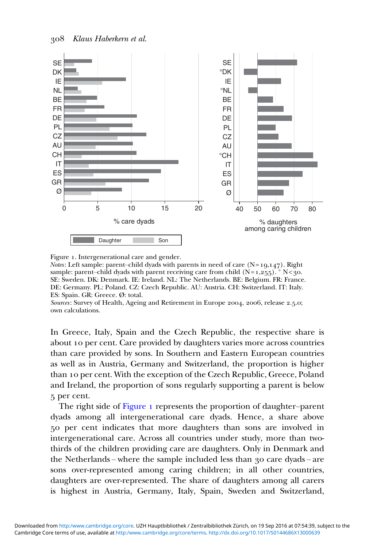<span id="page-10-0"></span>

Figure 1. Intergenerational care and gender.

*Notes*: Left sample: parent–child dyads with parents in need of care  $(N=10,147)$ . Right sample: parent–child dyads with parent receiving care from child  $(N=1,255)$ .  $\degree N < 30$ . SE: Sweden. DK: Denmark. IE: Ireland. NL: The Netherlands. BE: Belgium. FR: France. DE: Germany. PL: Poland. CZ: Czech Republic. AU: Austria. CH: Switzerland. IT: Italy. ES: Spain. GR: Greece. Ø: total.

Sources: Survey of Health, Ageing and Retirement in Europe 2004, 2006, release 2.5.0; own calculations.

In Greece, Italy, Spain and the Czech Republic, the respective share is about 10 per cent. Care provided by daughters varies more across countries than care provided by sons. In Southern and Eastern European countries as well as in Austria, Germany and Switzerland, the proportion is higher than 10 per cent. With the exception of the Czech Republic, Greece, Poland and Ireland, the proportion of sons regularly supporting a parent is below per cent.

The right side of Figure 1 represents the proportion of daughter–parent dyads among all intergenerational care dyads. Hence, a share above per cent indicates that more daughters than sons are involved in intergenerational care. Across all countries under study, more than twothirds of the children providing care are daughters. Only in Denmark and the Netherlands – where the sample included less than  $30$  care dyads – are sons over-represented among caring children; in all other countries, daughters are over-represented. The share of daughters among all carers is highest in Austria, Germany, Italy, Spain, Sweden and Switzerland,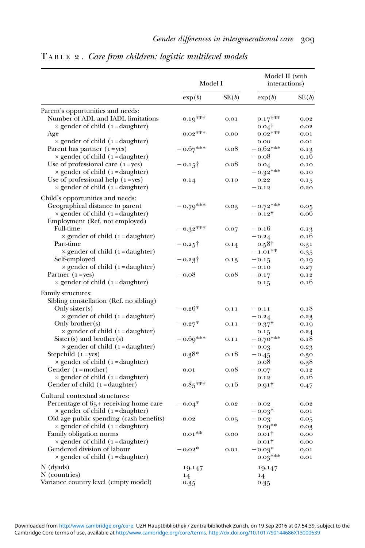|                                                                                                                                                | Model I                       |              | Model II (with<br>interactions)        |                      |
|------------------------------------------------------------------------------------------------------------------------------------------------|-------------------------------|--------------|----------------------------------------|----------------------|
|                                                                                                                                                | exp(b)                        | SE(b)        | $\exp(b)$                              | SE(b)                |
| Parent's opportunities and needs:<br>Number of ADL and IADL limitations<br>$\times$ gender of child (1=daughter)                               | $0.19***$                     | 0.01         | $0.17***$<br>$0.04$ †                  | 0.02<br>0.02         |
| Age                                                                                                                                            | $0.02***$                     | 0.00         | $0.02***$                              | 0.01                 |
| $\times$ gender of child (1=daughter)<br>Parent has partner $(1 = yes)$<br>$\times$ gender of child (1=daughter)                               | $-0.67***$                    | 0.08         | 0.00<br>$-0.62***$<br>$-\mathrm{0.08}$ | 0.01<br>0.13<br>0.16 |
| Use of professional care $(1 = yes)$<br>$\times$ gender of child (1=daughter)                                                                  | $-0.15$ †                     | 0.08         | 0.04<br>$-0.32***$                     | 0.10<br>0.10         |
| Use of professional help $(1 = yes)$<br>$\times$ gender of child (1=daughter)                                                                  | 0.14                          | 0.10         | 0.22<br>$-0.12$                        | 0.15<br>0.20         |
| Child's opportunities and needs:<br>Geographical distance to parent<br>$\times$ gender of child (1=daughter)<br>Employment (Ref. not employed) | $-0.79***$                    | 0.03         | $-0.72***$<br>$-0.12$ †                | 0.05<br>0.06         |
| Full-time<br>$\times$ gender of child (1=daughter)                                                                                             | $-0.32***$                    | 0.07         | $-0.16$<br>$-0.24$                     | 0.13<br>0.16         |
| Part-time<br>$\times$ gender of child (1=daughter)                                                                                             | $-0.25$ †                     | 0.14         | $0.58\dagger$<br>$-1.01**$             | 0.31<br>0.35         |
| Self-employed<br>$\times$ gender of child (1=daughter)<br>Partner $(1 = yes)$                                                                  | $-0.23$ †<br>$-\mathrm{0.08}$ | 0.13<br>0.08 | $-0.15$<br>$-0.10$                     | 0.19<br>0.27<br>0.12 |
| $\times$ gender of child (1=daughter)                                                                                                          |                               |              | $-0.17$<br>0.15                        | 0.16                 |
| Family structures:<br>Sibling constellation (Ref. no sibling)                                                                                  |                               |              |                                        |                      |
| Only sister $(s)$<br>$\times$ gender of child (1=daughter)                                                                                     | $-0.26*$                      | 0.11         | $-0.11$<br>$-0.24$                     | 0.18<br>0.23         |
| Only brother $(s)$<br>$\times$ gender of child (1=daughter)                                                                                    | $-\frac{0.27^{*}}{}$          | 0.11         | $-0.37$ †<br>0.15                      | 0.19<br>0.24         |
| $Sister(s)$ and brother(s)<br>$\times$ gender of child (1=daughter)                                                                            | $-0.69***$                    | 0.11<br>0.18 | $-0.70***$<br>$-0.03$                  | 0.18<br>0.23         |
| Stepchild $(1 = yes)$<br>$\times$ gender of child (1=daughter)                                                                                 | $0.38*$                       |              | $-0.45$<br>0.08                        | 0.30<br>0.38         |
| Gender $(i = mother)$<br>$\times$ gender of child (1=daughter)                                                                                 | 0.01<br>$0.85***$             | 0.08         | $-0.07$<br>0.12                        | 0.12<br>0.16         |
| Gender of child $(1 = daughter)$<br>Cultural contextual structures:                                                                            |                               | 0.16         | $0.91\dagger$                          | 0.47                 |
| Percentage of $65+$ receiving home care<br>$\times$ gender of child (1=daughter)                                                               | $-0.04*$                      | 0.02         | $-0.02$<br>$-0.03*$                    | 0.02<br>$_{0.01}$    |
| Old age public spending (cash benefits)<br>$\times$ gender of child (1=daughter)                                                               | 0.02                          | 0.05         | $-0.03$<br>$0.09**$                    | 0.05<br>0.03         |
| Family obligation norms<br>$\times$ gender of child (1=daughter)                                                                               | $0.01**$                      | 0.00         | $0.01\ddagger$<br>$0.01\dagger$        | 0.00<br>0.00         |
| Gendered division of labour<br>$\times$ gender of child (1=daughter)                                                                           | $-0.02*$                      | 0.01         | $-0.03*$<br>$0.03***$                  | 0.01<br>0.01         |
| $N$ (dyads)<br>N (countries)<br>Variance country level (empty model)                                                                           | 19,147<br>$^{14}$<br>0.35     |              | 19,147<br>14<br>0.35                   |                      |

T ABLE . Care from children: logistic multilevel models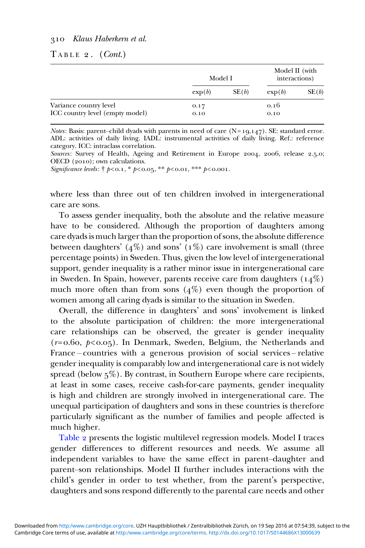#### Klaus Haberkern et al.

| TABLE 2. |  | (Cont.) |
|----------|--|---------|
|----------|--|---------|

|                                                           | Model I      |       | Model II (with<br>interactions) |       |
|-----------------------------------------------------------|--------------|-------|---------------------------------|-------|
|                                                           | $\exp(b)$    | SE(b) | $\exp(b)$                       | SE(b) |
| Variance country level<br>ICC country level (empty model) | 0.17<br>0.10 |       | 0.16<br>0.10                    |       |

*Notes*: Basis: parent–child dyads with parents in need of care  $(N=19,147)$ . SE: standard error. ADL: activities of daily living. IADL: instrumental activities of daily living. Ref.: reference category. ICC: intraclass correlation.

Sources: Survey of Health, Ageing and Retirement in Europe 2004, 2006, release 2.5.0; OECD (2010); own calculations.

Significance levels:  $\dagger p \langle 0.1, * p \langle 0.05, ** p \langle 0.01, ** * p \langle 0.001,$ 

where less than three out of ten children involved in intergenerational care are sons.

To assess gender inequality, both the absolute and the relative measure have to be considered. Although the proportion of daughters among care dyads is much larger than the proportion of sons, the absolute difference between daughters'  $(4\%)$  and sons'  $(1\%)$  care involvement is small (three percentage points) in Sweden. Thus, given the low level of intergenerational support, gender inequality is a rather minor issue in intergenerational care in Sweden. In Spain, however, parents receive care from daughters  $(14\%)$ much more often than from sons  $(4\%)$  even though the proportion of women among all caring dyads is similar to the situation in Sweden.

Overall, the difference in daughters' and sons' involvement is linked to the absolute participation of children: the more intergenerational care relationships can be observed, the greater is gender inequality  $(r=0.60, p<0.05)$ . In Denmark, Sweden, Belgium, the Netherlands and France – countries with a generous provision of social services – relative gender inequality is comparably low and intergenerational care is not widely spread (below  $5\%$ ). By contrast, in Southern Europe where care recipients, at least in some cases, receive cash-for-care payments, gender inequality is high and children are strongly involved in intergenerational care. The unequal participation of daughters and sons in these countries is therefore particularly significant as the number of families and people affected is much higher.

Table 2 presents the logistic multilevel regression models. Model I traces gender differences to different resources and needs. We assume all independent variables to have the same effect in parent–daughter and parent–son relationships. Model II further includes interactions with the child's gender in order to test whether, from the parent's perspective, daughters and sons respond differently to the parental care needs and other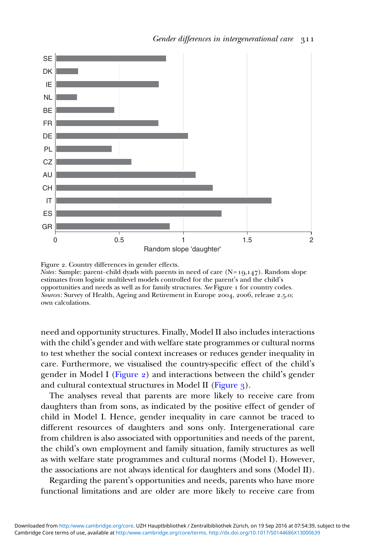<span id="page-13-0"></span>

Figure 2. Country differences in gender effects. Notes: Sample: parent-child dyads with parents in need of care  $(N=19,147)$ . Random slope estimates from logistic multilevel models controlled for the parent's and the child's opportunities and needs as well as for family structures. See Figure  $_1$  for country codes. Sources: Survey of Health, Ageing and Retirement in Europe 2004, 2006, release 2.5.0; own calculations.

need and opportunity structures. Finally, Model II also includes interactions with the child's gender and with welfare state programmes or cultural norms to test whether the social context increases or reduces gender inequality in care. Furthermore, we visualised the country-specific effect of the child's gender in Model I (Figure  $\alpha$ ) and interactions between the child's gender and cultural contextual structures in Model II [\(Figure](#page-14-0) 3).

The analyses reveal that parents are more likely to receive care from daughters than from sons, as indicated by the positive effect of gender of child in Model I. Hence, gender inequality in care cannot be traced to different resources of daughters and sons only. Intergenerational care from children is also associated with opportunities and needs of the parent, the child's own employment and family situation, family structures as well as with welfare state programmes and cultural norms (Model I). However, the associations are not always identical for daughters and sons (Model II).

Regarding the parent's opportunities and needs, parents who have more functional limitations and are older are more likely to receive care from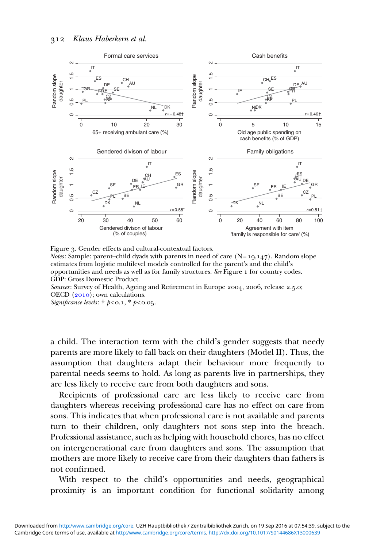<span id="page-14-0"></span>

Figure 3. Gender effects and cultural-contextual factors.

*Notes*: Sample: parent–child dyads with parents in need of care  $(N=19,147)$ . Random slope estimates from logistic multilevel models controlled for the parent's and the child's opportunities and needs as well as for family structures. See Figure 1 for country codes. GDP: Gross Domestic Product.

Sources: Survey of Health, Ageing and Retirement in Europe 2004, 2006, release 2.5.0; OECD  $(2010)$ ; own calculations.

Significance levels:  $\dagger p < 0.1$ ,  $* p < 0.05$ .

a child. The interaction term with the child's gender suggests that needy parents are more likely to fall back on their daughters (Model II). Thus, the assumption that daughters adapt their behaviour more frequently to parental needs seems to hold. As long as parents live in partnerships, they are less likely to receive care from both daughters and sons.

Recipients of professional care are less likely to receive care from daughters whereas receiving professional care has no effect on care from sons. This indicates that when professional care is not available and parents turn to their children, only daughters not sons step into the breach. Professional assistance, such as helping with household chores, has no effect on intergenerational care from daughters and sons. The assumption that mothers are more likely to receive care from their daughters than fathers is not confirmed.

With respect to the child's opportunities and needs, geographical proximity is an important condition for functional solidarity among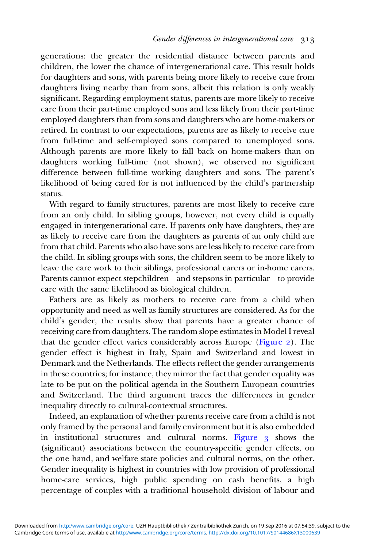generations: the greater the residential distance between parents and children, the lower the chance of intergenerational care. This result holds for daughters and sons, with parents being more likely to receive care from daughters living nearby than from sons, albeit this relation is only weakly significant. Regarding employment status, parents are more likely to receive care from their part-time employed sons and less likely from their part-time employed daughters than from sons and daughters who are home-makers or retired. In contrast to our expectations, parents are as likely to receive care from full-time and self-employed sons compared to unemployed sons. Although parents are more likely to fall back on home-makers than on daughters working full-time (not shown), we observed no significant difference between full-time working daughters and sons. The parent's likelihood of being cared for is not influenced by the child's partnership status.

With regard to family structures, parents are most likely to receive care from an only child. In sibling groups, however, not every child is equally engaged in intergenerational care. If parents only have daughters, they are as likely to receive care from the daughters as parents of an only child are from that child. Parents who also have sons are less likely to receive care from the child. In sibling groups with sons, the children seem to be more likely to leave the care work to their siblings, professional carers or in-home carers. Parents cannot expect stepchildren – and stepsons in particular – to provide care with the same likelihood as biological children.

Fathers are as likely as mothers to receive care from a child when opportunity and need as well as family structures are considered. As for the child's gender, the results show that parents have a greater chance of receiving care from daughters. The random slope estimates in Model I reveal that the gender effect varies considerably across Europe ([Figure](#page-13-0)  $2$ ). The gender effect is highest in Italy, Spain and Switzerland and lowest in Denmark and the Netherlands. The effects reflect the gender arrangements in these countries; for instance, they mirror the fact that gender equality was late to be put on the political agenda in the Southern European countries and Switzerland. The third argument traces the differences in gender inequality directly to cultural-contextual structures.

Indeed, an explanation of whether parents receive care from a child is not only framed by the personal and family environment but it is also embedded in institutional structures and cultural norms. [Figure](#page-14-0)  $\alpha$  shows the (significant) associations between the country-specific gender effects, on the one hand, and welfare state policies and cultural norms, on the other. Gender inequality is highest in countries with low provision of professional home-care services, high public spending on cash benefits, a high percentage of couples with a traditional household division of labour and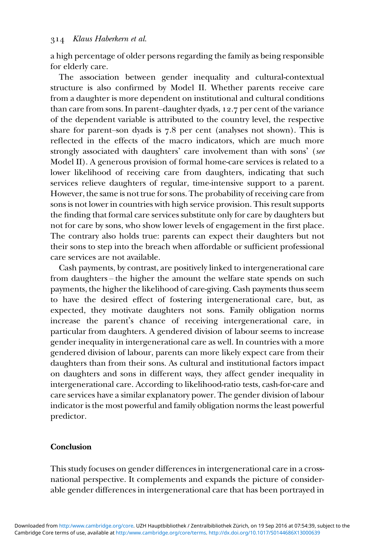a high percentage of older persons regarding the family as being responsible for elderly care.

The association between gender inequality and cultural-contextual structure is also confirmed by Model II. Whether parents receive care from a daughter is more dependent on institutional and cultural conditions than care from sons. In parent–daughter dyads, 12.7 per cent of the variance of the dependent variable is attributed to the country level, the respective share for parent–son dyads is  $7.8$  per cent (analyses not shown). This is reflected in the effects of the macro indicators, which are much more strongly associated with daughters' care involvement than with sons' (see Model II). A generous provision of formal home-care services is related to a lower likelihood of receiving care from daughters, indicating that such services relieve daughters of regular, time-intensive support to a parent. However, the same is not true for sons. The probability of receiving care from sons is not lower in countries with high service provision. This result supports the finding that formal care services substitute only for care by daughters but not for care by sons, who show lower levels of engagement in the first place. The contrary also holds true: parents can expect their daughters but not their sons to step into the breach when affordable or sufficient professional care services are not available.

Cash payments, by contrast, are positively linked to intergenerational care from daughters – the higher the amount the welfare state spends on such payments, the higher the likelihood of care-giving. Cash payments thus seem to have the desired effect of fostering intergenerational care, but, as expected, they motivate daughters not sons. Family obligation norms increase the parent's chance of receiving intergenerational care, in particular from daughters. A gendered division of labour seems to increase gender inequality in intergenerational care as well. In countries with a more gendered division of labour, parents can more likely expect care from their daughters than from their sons. As cultural and institutional factors impact on daughters and sons in different ways, they affect gender inequality in intergenerational care. According to likelihood-ratio tests, cash-for-care and care services have a similar explanatory power. The gender division of labour indicator is the most powerful and family obligation norms the least powerful predictor.

## Conclusion

This study focuses on gender differences in intergenerational care in a crossnational perspective. It complements and expands the picture of considerable gender differences in intergenerational care that has been portrayed in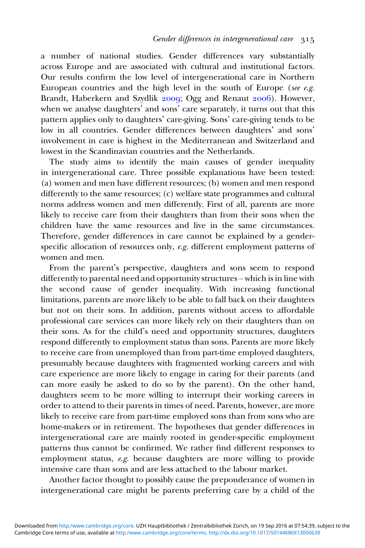a number of national studies. Gender differences vary substantially across Europe and are associated with cultural and institutional factors. Our results confirm the low level of intergenerational care in Northern European countries and the high level in the south of Europe (see e.g. Brandt, Haberkern and Szydlik  $2009$ ; Ogg and Renaut  $2006$ ). However, when we analyse daughters' and sons' care separately, it turns out that this pattern applies only to daughters' care-giving. Sons' care-giving tends to be low in all countries. Gender differences between daughters' and sons' involvement in care is highest in the Mediterranean and Switzerland and lowest in the Scandinavian countries and the Netherlands.

The study aims to identify the main causes of gender inequality in intergenerational care. Three possible explanations have been tested: (a) women and men have different resources; (b) women and men respond differently to the same resources; (c) welfare state programmes and cultural norms address women and men differently. First of all, parents are more likely to receive care from their daughters than from their sons when the children have the same resources and live in the same circumstances. Therefore, gender differences in care cannot be explained by a genderspecific allocation of resources only, e.g. different employment patterns of women and men.

From the parent's perspective, daughters and sons seem to respond differently to parental need and opportunity structures – which is in line with the second cause of gender inequality. With increasing functional limitations, parents are more likely to be able to fall back on their daughters but not on their sons. In addition, parents without access to affordable professional care services can more likely rely on their daughters than on their sons. As for the child's need and opportunity structures, daughters respond differently to employment status than sons. Parents are more likely to receive care from unemployed than from part-time employed daughters, presumably because daughters with fragmented working careers and with care experience are more likely to engage in caring for their parents (and can more easily be asked to do so by the parent). On the other hand, daughters seem to be more willing to interrupt their working careers in order to attend to their parents in times of need. Parents, however, are more likely to receive care from part-time employed sons than from sons who are home-makers or in retirement. The hypotheses that gender differences in intergenerational care are mainly rooted in gender-specific employment patterns thus cannot be confirmed. We rather find different responses to employment status, e.g. because daughters are more willing to provide intensive care than sons and are less attached to the labour market.

Another factor thought to possibly cause the preponderance of women in intergenerational care might be parents preferring care by a child of the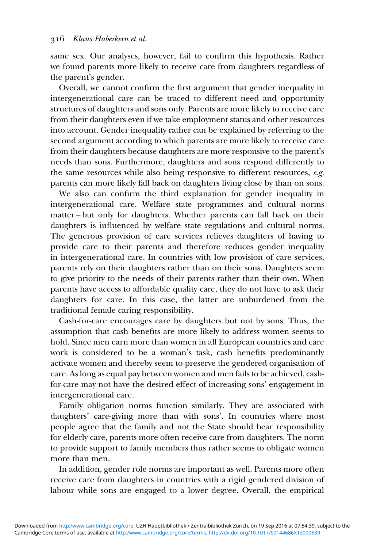same sex. Our analyses, however, fail to confirm this hypothesis. Rather we found parents more likely to receive care from daughters regardless of the parent's gender.

Overall, we cannot confirm the first argument that gender inequality in intergenerational care can be traced to different need and opportunity structures of daughters and sons only. Parents are more likely to receive care from their daughters even if we take employment status and other resources into account. Gender inequality rather can be explained by referring to the second argument according to which parents are more likely to receive care from their daughters because daughters are more responsive to the parent's needs than sons. Furthermore, daughters and sons respond differently to the same resources while also being responsive to different resources, e.g. parents can more likely fall back on daughters living close by than on sons.

We also can confirm the third explanation for gender inequality in intergenerational care. Welfare state programmes and cultural norms matter – but only for daughters. Whether parents can fall back on their daughters is influenced by welfare state regulations and cultural norms. The generous provision of care services relieves daughters of having to provide care to their parents and therefore reduces gender inequality in intergenerational care. In countries with low provision of care services, parents rely on their daughters rather than on their sons. Daughters seem to give priority to the needs of their parents rather than their own. When parents have access to affordable quality care, they do not have to ask their daughters for care. In this case, the latter are unburdened from the traditional female caring responsibility.

Cash-for-care encourages care by daughters but not by sons. Thus, the assumption that cash benefits are more likely to address women seems to hold. Since men earn more than women in all European countries and care work is considered to be a woman's task, cash benefits predominantly activate women and thereby seem to preserve the gendered organisation of care. As long as equal pay between women and men fails to be achieved, cashfor-care may not have the desired effect of increasing sons' engagement in intergenerational care.

Family obligation norms function similarly. They are associated with daughters' care-giving more than with sons'. In countries where most people agree that the family and not the State should bear responsibility for elderly care, parents more often receive care from daughters. The norm to provide support to family members thus rather seems to obligate women more than men.

In addition, gender role norms are important as well. Parents more often receive care from daughters in countries with a rigid gendered division of labour while sons are engaged to a lower degree. Overall, the empirical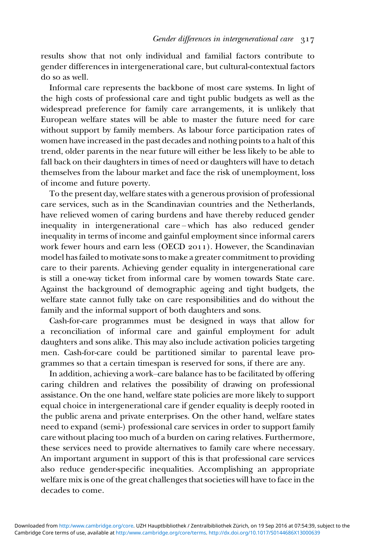results show that not only individual and familial factors contribute to gender differences in intergenerational care, but cultural-contextual factors do so as well.

Informal care represents the backbone of most care systems. In light of the high costs of professional care and tight public budgets as well as the widespread preference for family care arrangements, it is unlikely that European welfare states will be able to master the future need for care without support by family members. As labour force participation rates of women have increased in the past decades and nothing points to a halt of this trend, older parents in the near future will either be less likely to be able to fall back on their daughters in times of need or daughters will have to detach themselves from the labour market and face the risk of unemployment, loss of income and future poverty.

To the present day, welfare states with a generous provision of professional care services, such as in the Scandinavian countries and the Netherlands, have relieved women of caring burdens and have thereby reduced gender inequality in intergenerational care – which has also reduced gender inequality in terms of income and gainful employment since informal carers work fewer hours and earn less (OECD 2011). However, the Scandinavian model has failed to motivate sons to make a greater commitment to providing care to their parents. Achieving gender equality in intergenerational care is still a one-way ticket from informal care by women towards State care. Against the background of demographic ageing and tight budgets, the welfare state cannot fully take on care responsibilities and do without the family and the informal support of both daughters and sons.

Cash-for-care programmes must be designed in ways that allow for a reconciliation of informal care and gainful employment for adult daughters and sons alike. This may also include activation policies targeting men. Cash-for-care could be partitioned similar to parental leave programmes so that a certain timespan is reserved for sons, if there are any.

In addition, achieving a work–care balance has to be facilitated by offering caring children and relatives the possibility of drawing on professional assistance. On the one hand, welfare state policies are more likely to support equal choice in intergenerational care if gender equality is deeply rooted in the public arena and private enterprises. On the other hand, welfare states need to expand (semi-) professional care services in order to support family care without placing too much of a burden on caring relatives. Furthermore, these services need to provide alternatives to family care where necessary. An important argument in support of this is that professional care services also reduce gender-specific inequalities. Accomplishing an appropriate welfare mix is one of the great challenges that societies will have to face in the decades to come.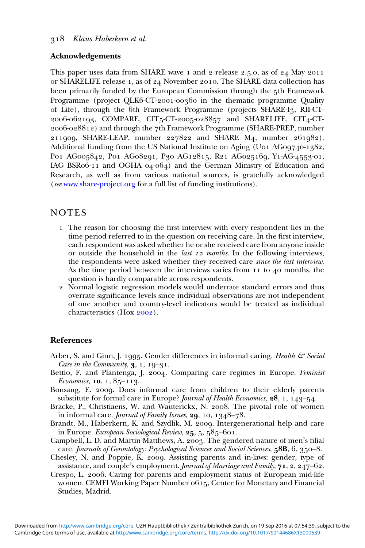#### <span id="page-20-0"></span>Klaus Haberkern et al.

#### Acknowledgements

This paper uses data from SHARE wave 1 and 2 release 2.5.0, as of  $24$  May  $2011$ or SHARELIFE release 1, as of 24 November 2010. The SHARE data collection has been primarily funded by the European Commission through the 5th Framework Programme (project QLK6-CT-2001-00360 in the thematic programme Quality of Life), through the 6th Framework Programme (projects SHARE-I3, RII-CT-2006-062193, COMPARE, CIT5-CT-2005-028857 and SHARELIFE, CIT4-CT-2006-028812) and through the 7th Framework Programme (SHARE-PREP, number 211909, SHARE-LEAP, number  $227822$  and SHARE M<sub>4</sub>, number  $261982$ . Additional funding from the US National Institute on Aging (U01 AG09740-13S2, P01 AG005842, P01 AG08291, P30 AG12815, R21 AG025169, Y1-AG-4553-01, IAG BSR06-11 and OGHA  $o_4$ - $o_64$ ) and the German Ministry of Education and Research, as well as from various national sources, is gratefully acknowledged (see [www.share-project.org](http://www.share-project.org) for a full list of funding institutions).

## **NOTES**

- The reason for choosing the first interview with every respondent lies in the time period referred to in the question on receiving care. In the first interview, each respondent was asked whether he or she received care from anyone inside or outside the household in the *last*  $12$  *months*. In the following interviews, the respondents were asked whether they received care since the last interview. As the time period between the interviews varies from  $11$  to  $40$  months, the question is hardly comparable across respondents.
- Normal logistic regression models would underrate standard errors and thus overrate significance levels since individual observations are not independent of one another and country-level indicators would be treated as individual characteristics  $(Hox 2002)$ .

#### **References**

- Arber, S. and Ginn, J. 1995. Gender differences in informal caring. Health & Social Care in the Community,  $3, 1, 10-31$ .
- Bettio, F. and Plantenga, J. 2004. Comparing care regimes in Europe. Feminist *Economics*, **10**, 1,  $85-113$ .
- Bonsang, E. 2009. Does informal care from children to their elderly parents substitute for formal care in Europe? Journal of Health Economics,  $28, 1, 143-54$ .
- Bracke, P., Christiaens, W. and Wauterickx, N. 2008. The pivotal role of women in informal care. Journal of Family Issues,  $29$ , 10, 1348-78.
- Brandt, M., Haberkern, K. and Szydlik, M. 2009. Intergenerational help and care in Europe. European Sociological Review, 25, 5, 585-601.
- Campbell, L. D. and Martin-Matthews, A. 2003. The gendered nature of men's filial care. Journals of Gerontology: Psychological Sciences and Social Sciences, 58B, 6, 350-8.
- Chesley, N. and Poppie, K. 2009. Assisting parents and in-laws: gender, type of assistance, and couple's employment. Journal of Marriage and Family, 71, 2, 247-62.
- Crespo, L. 2006. Caring for parents and employment status of European mid-life women. CEMFI Working Paper Number 0615, Center for Monetary and Financial Studies, Madrid.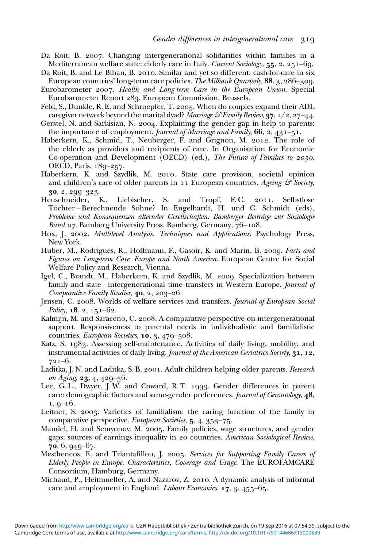- <span id="page-21-0"></span>Da Roit, B. 2007. Changing intergenerational solidarities within families in a Mediterranean welfare state: elderly care in Italy. Current Sociology,  $55$ ,  $2$ ,  $251-69$ .
- Da Roit, B. and Le Bihan, B. 2010. Similar and yet so different: cash-for-care in six European countries' long-term care policies. The Milbank Quarterly,  $88, 3, 286 - 309$ .
- Eurobarometer 2007. Health and Long-term Care in the European Union. Special Eurobarometer Report 283, European Commission, Brussels.
- Feld, S., Dunkle, R. E. and Schroepfer, T. 2005. When do couples expand their ADL caregiver network beyond the marital dyad? Marriage  $\mathcal{F}$  Family Review, 37, 1/2, 27–44.
- Gerstel, N. and Sarkisian, N. 2004. Explaining the gender gap in help to parents: the importance of employment. Journal of Marriage and Family,  $66, 2, 431-51$ .
- Haberkern, K., Schmid, T., Neuberger, F. and Grignon, M. 2012. The role of the elderly as providers and recipients of care. In Organisation for Economic Co-operation and Development (OECD) (ed.), The Future of Families to 2030. OECD, Paris, 189–257.
- Haberkern, K. and Szydlik, M. 2010. State care provision, societal opinion and children's care of older parents in 11 European countries. Ageing  $\mathcal{F}$  Society,  $30, 2, 299 - 323.$
- Heuschneider, K., Liebischer, S. and Tropf, F.C. 2011. Selbstlose Töchter – Berechnende Söhne? In Engelhardt, H. und C. Schmidt (eds), Probleme und Konsequenzen alternder Gesellschaften. Bamberger Beiträge zur Soziologie *Band 07.* Bamberg University Press, Bamberg, Germany,  $76-108$ .
- Hox, J. 2002. Multilevel Analysis. Techniques and Applications. Psychology Press, New York.
- Huber, M., Rodrigues, R., Hoffmann, F., Gasoir, K. and Marin, B. 2009. Facts and Figures on Long-term Care. Europe and North America. European Centre for Social Welfare Policy and Research, Vienna.
- Igel, C., Brandt, M., Haberkern, K. and Szydlik, M. 2009. Specialization between family and state – intergenerational time transfers in Western Europe. Journal of Comparative Family Studies,  $40, 2, 203-26$ .
- Jensen, C. 2008. Worlds of welfare services and transfers. Journal of European Social Policy,  $18, 2, 151-62$ .
- Kalmijn, M. and Saraceno, C. 2008. A comparative perspective on intergenerational support. Responsiveness to parental needs in individualistic and familialistic countries. European Societies, 10, 3, 479-508.
- Katz, S. 1983. Assessing self-maintenance. Activities of daily living, mobility, and instrumental activities of daily living. Journal of the American Geriatrics Society,  $31, 12,$  $721 - 6.$
- Laditka, J. N. and Laditka, S. B. 2001. Adult children helping older parents. Research on Aging,  $23, 4, 429 - 56$ .
- Lee, G.L., Dwyer, J.W. and Coward, R.T. 1993. Gender differences in parent care: demographic factors and same-gender preferences. Journal of Gerontology, 48,  $1, 9-16.$
- Leitner, S. 2003. Varieties of familialism: the caring function of the family in comparative perspective. European Societies, 5, 4, 353-75.
- Mandel, H. and Semyonov, M. 2005. Family policies, wage structures, and gender gaps: sources of earnings inequality in 20 countries. American Sociological Review,  $70, 6, 949 - 67.$
- Mestheneos, E. and Triantafillou, J. 2005. Services for Supporting Family Carers of Elderly People in Europe. Characteristics, Coverage and Usage. The EUROFAMCARE Consortium, Hamburg, Germany.
- Michaud, P., Heitmueller, A. and Nazarov, Z. 2010. A dynamic analysis of informal care and employment in England. Labour Economics,  $17, 3, 455 - 65$ .